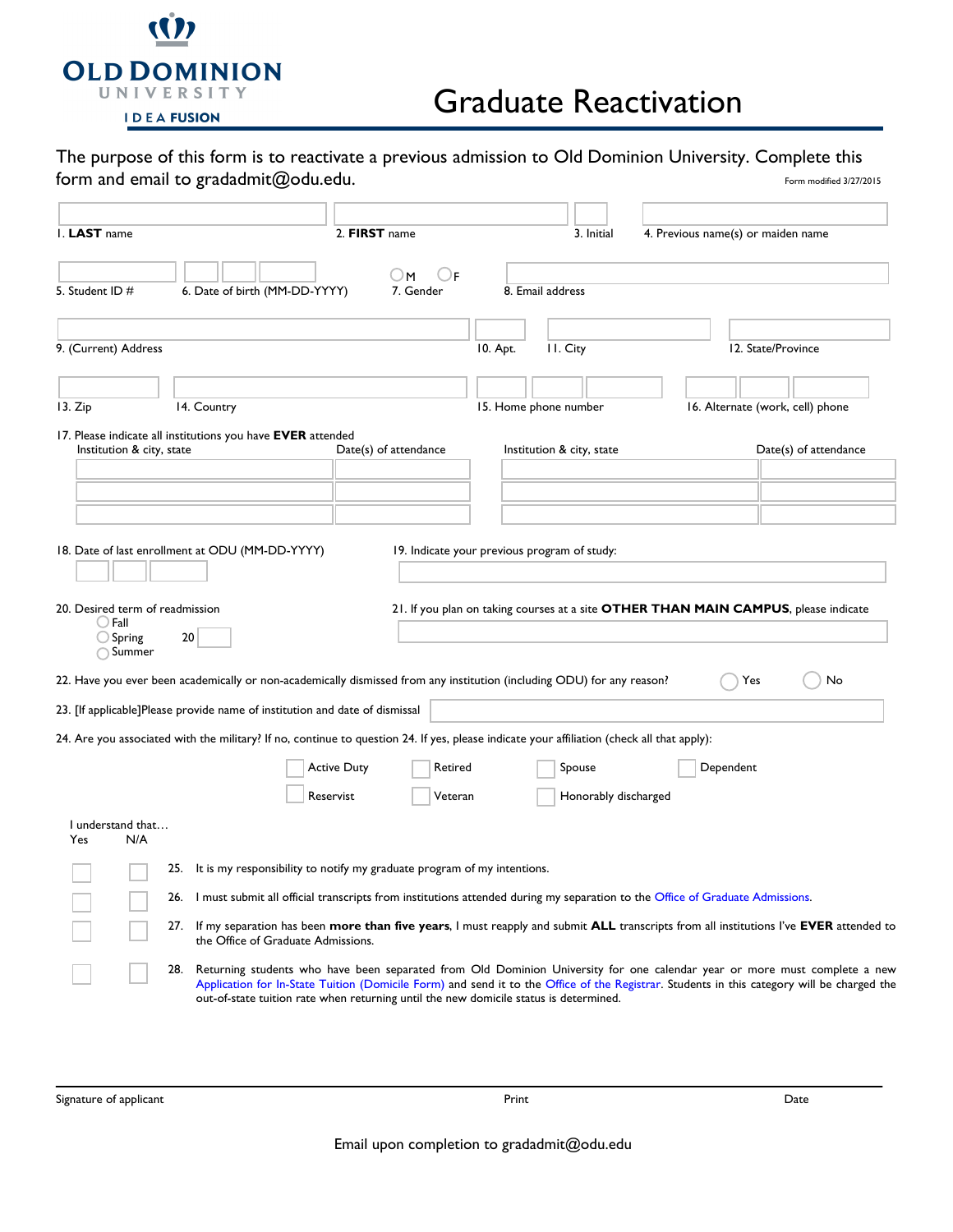

## Graduate Reactivation

| The purpose of this form is to reactivate a previous admission to Old Dominion University. Complete this |                         |
|----------------------------------------------------------------------------------------------------------|-------------------------|
| form and email to gradadmit@odu.edu.                                                                     | Form modified 3/27/2015 |

| I. LAST name<br>5. Student ID #                                         |     | 6. Date of birth (MM-DD-YYYY)                                                                                                                                                                                                                                                                                                                                    | 2. FIRST name<br>) F<br>UΜ<br>7. Gender |          | 3. Initial<br>8. Email address               | 4. Previous name(s) or maiden name                                                  |                    |                                  |
|-------------------------------------------------------------------------|-----|------------------------------------------------------------------------------------------------------------------------------------------------------------------------------------------------------------------------------------------------------------------------------------------------------------------------------------------------------------------|-----------------------------------------|----------|----------------------------------------------|-------------------------------------------------------------------------------------|--------------------|----------------------------------|
| 9. (Current) Address                                                    |     |                                                                                                                                                                                                                                                                                                                                                                  |                                         | 10. Apt. | II. City                                     |                                                                                     | 12. State/Province |                                  |
| 13. Zip                                                                 |     | 14. Country                                                                                                                                                                                                                                                                                                                                                      |                                         |          | 15. Home phone number                        |                                                                                     |                    | 16. Alternate (work, cell) phone |
| Institution & city, state                                               |     | 17. Please indicate all institutions you have EVER attended                                                                                                                                                                                                                                                                                                      | Date(s) of attendance                   |          | Institution & city, state                    |                                                                                     |                    | Date(s) of attendance            |
| 20. Desired term of readmission<br>$\bigcirc$ Fall<br>$\bigcirc$ Spring | 20  | 18. Date of last enrollment at ODU (MM-DD-YYYY)                                                                                                                                                                                                                                                                                                                  |                                         |          | 19. Indicate your previous program of study: | 21. If you plan on taking courses at a site OTHER THAN MAIN CAMPUS, please indicate |                    |                                  |
| ◯ Summer                                                                |     | 22. Have you ever been academically or non-academically dismissed from any institution (including ODU) for any reason?                                                                                                                                                                                                                                           |                                         |          |                                              |                                                                                     | Yes                | No                               |
|                                                                         |     | 23. [If applicable]Please provide name of institution and date of dismissal                                                                                                                                                                                                                                                                                      |                                         |          |                                              |                                                                                     |                    |                                  |
|                                                                         |     | 24. Are you associated with the military? If no, continue to question 24. If yes, please indicate your affiliation (check all that apply):                                                                                                                                                                                                                       |                                         |          |                                              |                                                                                     |                    |                                  |
|                                                                         |     | <b>Active Duty</b><br>Reservist                                                                                                                                                                                                                                                                                                                                  | Retired<br>Veteran                      |          | Spouse<br>Honorably discharged               |                                                                                     | Dependent          |                                  |
| I understand that<br>N/A<br>Yes                                         |     |                                                                                                                                                                                                                                                                                                                                                                  |                                         |          |                                              |                                                                                     |                    |                                  |
|                                                                         |     | 25. It is my responsibility to notify my graduate program of my intentions.                                                                                                                                                                                                                                                                                      |                                         |          |                                              |                                                                                     |                    |                                  |
|                                                                         |     | 26. I must submit all official transcripts from institutions attended during my separation to the Office of Graduate Admissions.                                                                                                                                                                                                                                 |                                         |          |                                              |                                                                                     |                    |                                  |
|                                                                         | 27. | If my separation has been more than five years, I must reapply and submit ALL transcripts from all institutions I've EVER attended to<br>the Office of Graduate Admissions.                                                                                                                                                                                      |                                         |          |                                              |                                                                                     |                    |                                  |
|                                                                         | 28. | Returning students who have been separated from Old Dominion University for one calendar year or more must complete a new<br>Application for In-State Tuition (Domicile Form) and send it to the Office of the Registrar. Students in this category will be charged the<br>out-of-state tuition rate when returning until the new domicile status is determined. |                                         |          |                                              |                                                                                     |                    |                                  |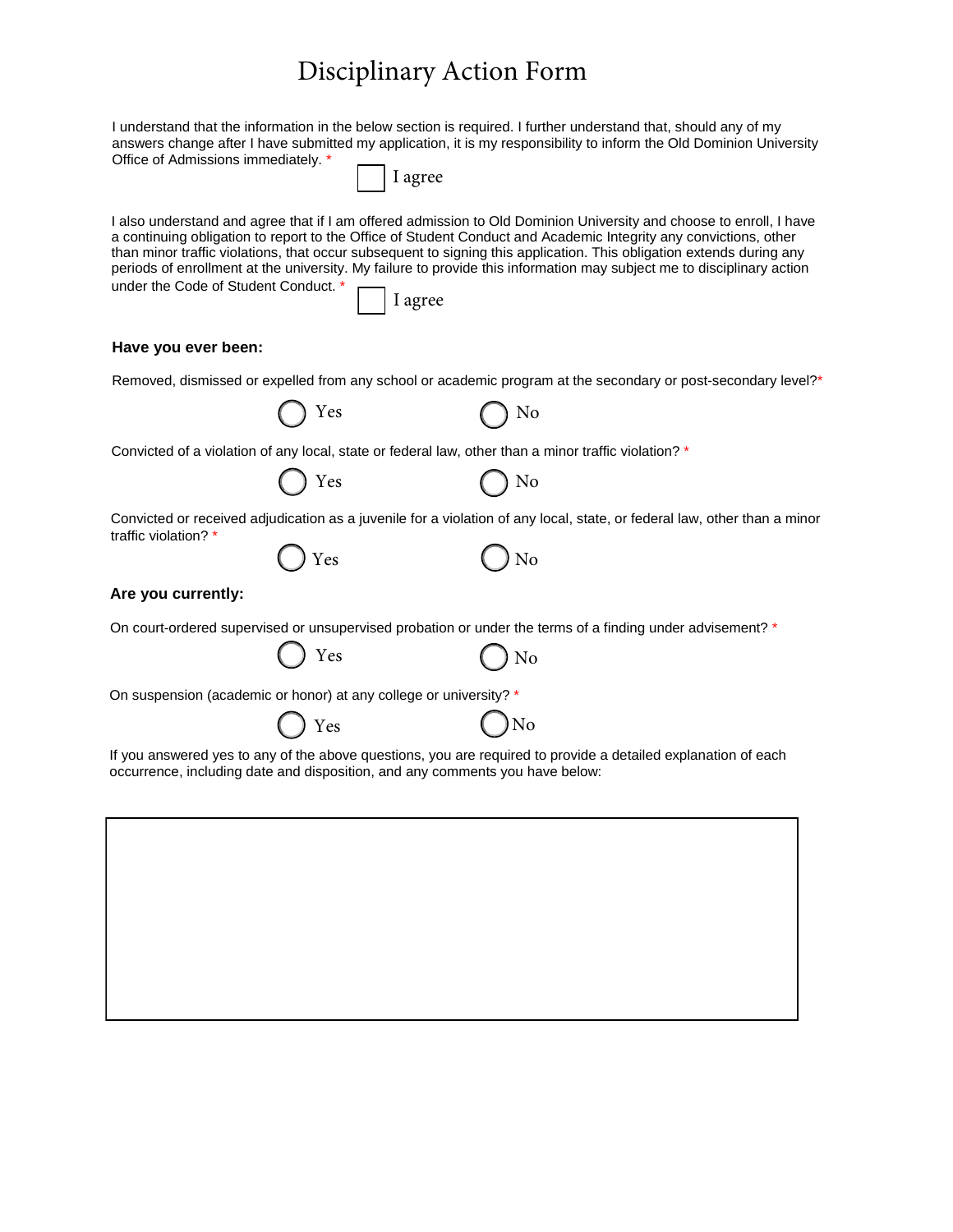# Disciplinary Action Form

| Office of Admissions immediately. *                               |     | I understand that the information in the below section is required. I further understand that, should any of my<br>answers change after I have submitted my application, it is my responsibility to inform the Old Dominion University<br>I agree                                                                                                                                                                                                                                                  |
|-------------------------------------------------------------------|-----|----------------------------------------------------------------------------------------------------------------------------------------------------------------------------------------------------------------------------------------------------------------------------------------------------------------------------------------------------------------------------------------------------------------------------------------------------------------------------------------------------|
| under the Code of Student Conduct. *                              |     | I also understand and agree that if I am offered admission to Old Dominion University and choose to enroll, I have<br>a continuing obligation to report to the Office of Student Conduct and Academic Integrity any convictions, other<br>than minor traffic violations, that occur subsequent to signing this application. This obligation extends during any<br>periods of enrollment at the university. My failure to provide this information may subject me to disciplinary action<br>I agree |
| Have you ever been:                                               |     |                                                                                                                                                                                                                                                                                                                                                                                                                                                                                                    |
|                                                                   |     | Removed, dismissed or expelled from any school or academic program at the secondary or post-secondary level?*                                                                                                                                                                                                                                                                                                                                                                                      |
|                                                                   | Yes | No                                                                                                                                                                                                                                                                                                                                                                                                                                                                                                 |
|                                                                   |     | Convicted of a violation of any local, state or federal law, other than a minor traffic violation? *                                                                                                                                                                                                                                                                                                                                                                                               |
|                                                                   | Yes | No                                                                                                                                                                                                                                                                                                                                                                                                                                                                                                 |
| traffic violation? *                                              | Yes | Convicted or received adjudication as a juvenile for a violation of any local, state, or federal law, other than a minor                                                                                                                                                                                                                                                                                                                                                                           |
| Are you currently:                                                |     | No                                                                                                                                                                                                                                                                                                                                                                                                                                                                                                 |
|                                                                   |     | On court-ordered supervised or unsupervised probation or under the terms of a finding under advisement? *                                                                                                                                                                                                                                                                                                                                                                                          |
|                                                                   | Yes | No                                                                                                                                                                                                                                                                                                                                                                                                                                                                                                 |
| On suspension (academic or honor) at any college or university? * |     |                                                                                                                                                                                                                                                                                                                                                                                                                                                                                                    |
|                                                                   | Yes | No                                                                                                                                                                                                                                                                                                                                                                                                                                                                                                 |
|                                                                   |     | If you answered yes to any of the above questions, you are required to provide a detailed explanation of each<br>occurrence, including date and disposition, and any comments you have below:                                                                                                                                                                                                                                                                                                      |
|                                                                   |     |                                                                                                                                                                                                                                                                                                                                                                                                                                                                                                    |
|                                                                   |     |                                                                                                                                                                                                                                                                                                                                                                                                                                                                                                    |
|                                                                   |     |                                                                                                                                                                                                                                                                                                                                                                                                                                                                                                    |
|                                                                   |     |                                                                                                                                                                                                                                                                                                                                                                                                                                                                                                    |
|                                                                   |     |                                                                                                                                                                                                                                                                                                                                                                                                                                                                                                    |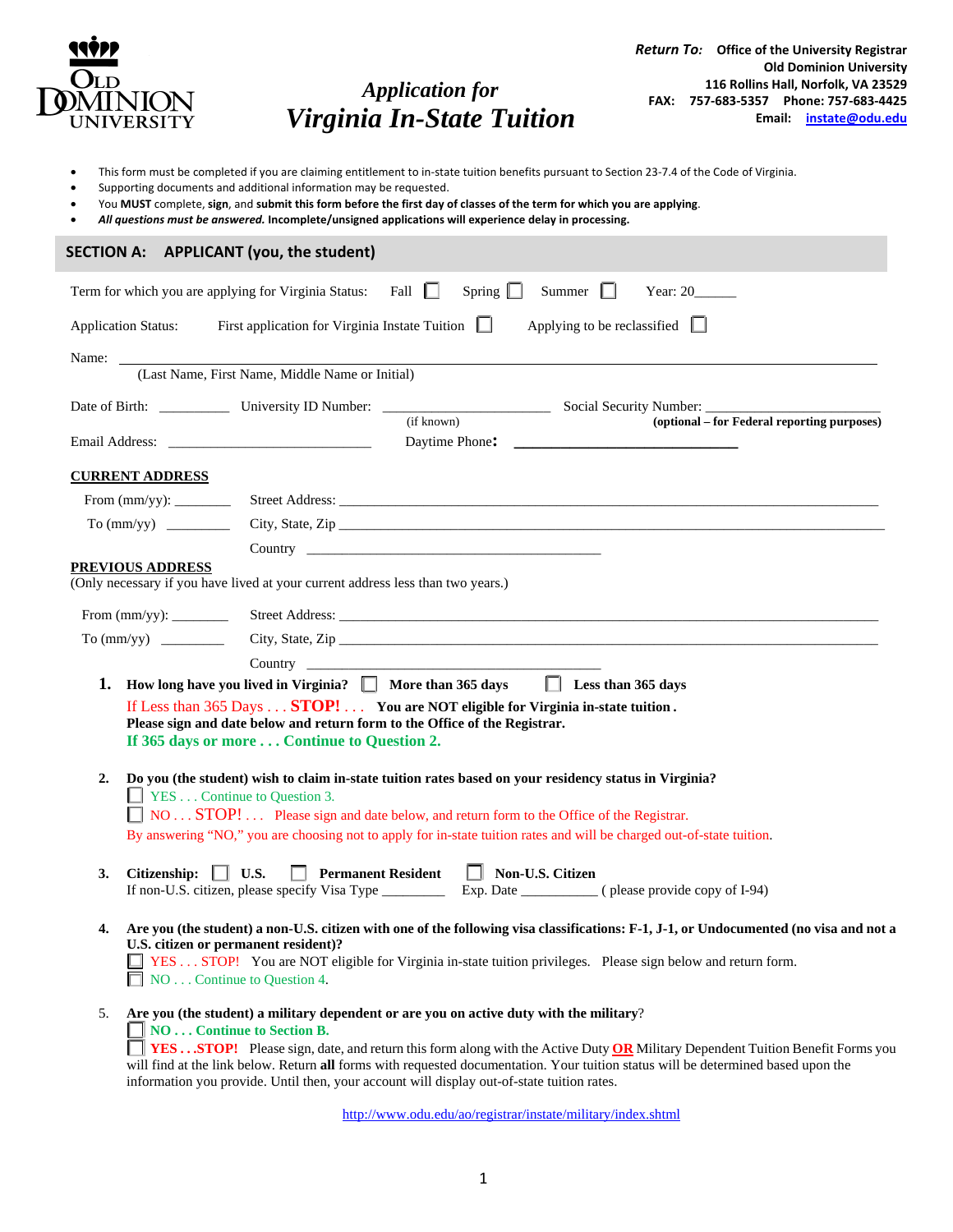

*Return To:* **Office of the University Registrar Old Dominion University 116 Rollins Hall, Norfolk, VA 23529 FAX: 757-683-5357 Phone: 757-683-4425 Email: instate@odu.edu**

• This form must be completed if you are claiming entitlement to in-state tuition benefits pursuant to Section 23-7.4 of the Code of Virginia.

*Application for Virginia In-State Tuition* 

- Supporting documents and additional information may be requested.
- You **MUST** complete, **sign**, and **submit this form before the first day of classes of the term for which you are applying**.
- *All questions must be answered.* **Incomplete/unsigned applications will experience delay in processing.**

| SECTION A: APPLICANT (you, the student)                                                                                                                                                                                                                                                                                                                                                                                                                                                                    |  |  |  |  |  |
|------------------------------------------------------------------------------------------------------------------------------------------------------------------------------------------------------------------------------------------------------------------------------------------------------------------------------------------------------------------------------------------------------------------------------------------------------------------------------------------------------------|--|--|--|--|--|
| Term for which you are applying for Virginia Status: Fall<br>Spring $\Box$<br>Summer $\Box$                                                                                                                                                                                                                                                                                                                                                                                                                |  |  |  |  |  |
| Applying to be reclassified $\Box$<br><b>Application Status:</b><br>First application for Virginia Instate Tuition $\Box$                                                                                                                                                                                                                                                                                                                                                                                  |  |  |  |  |  |
| Name:<br>(Last Name, First Name, Middle Name or Initial)                                                                                                                                                                                                                                                                                                                                                                                                                                                   |  |  |  |  |  |
| Date of Birth: University ID Number: Change and Social Security Number:<br>(if known)<br>(optional – for Federal reporting purposes)                                                                                                                                                                                                                                                                                                                                                                       |  |  |  |  |  |
| Email Address: No. 1996. The Second Second Second Second Second Second Second Second Second Second Second Second Second Second Second Second Second Second Second Second Second Second Second Second Second Second Second Seco                                                                                                                                                                                                                                                                             |  |  |  |  |  |
| <b>CURRENT ADDRESS</b>                                                                                                                                                                                                                                                                                                                                                                                                                                                                                     |  |  |  |  |  |
|                                                                                                                                                                                                                                                                                                                                                                                                                                                                                                            |  |  |  |  |  |
| City, State, Zip<br>To (mm/yy)                                                                                                                                                                                                                                                                                                                                                                                                                                                                             |  |  |  |  |  |
| Country Country Country Country Country Country Country Country Country Country Country Country Country Country Country Country Country Country Country Country Country Country Country Country Country Country Country Countr                                                                                                                                                                                                                                                                             |  |  |  |  |  |
| <b>PREVIOUS ADDRESS</b><br>(Only necessary if you have lived at your current address less than two years.)                                                                                                                                                                                                                                                                                                                                                                                                 |  |  |  |  |  |
|                                                                                                                                                                                                                                                                                                                                                                                                                                                                                                            |  |  |  |  |  |
| City, State, Zip                                                                                                                                                                                                                                                                                                                                                                                                                                                                                           |  |  |  |  |  |
| Country Country Country Country Country Country Country Country Country Country Country Country Country Country Country Country Country Country Country Country Country Country Country Country Country Country Country Countr                                                                                                                                                                                                                                                                             |  |  |  |  |  |
| $\Box$ Less than 365 days<br>How long have you lived in Virginia?   More than 365 days<br>1.<br>If Less than 365 Days STOP! You are NOT eligible for Virginia in-state tuition.<br>Please sign and date below and return form to the Office of the Registrar.<br>If 365 days or more  Continue to Question 2.                                                                                                                                                                                              |  |  |  |  |  |
| Do you (the student) wish to claim in-state tuition rates based on your residency status in Virginia?<br>2.<br><b>T</b> YES Continue to Question 3.<br>NO STOP! Please sign and date below, and return form to the Office of the Registrar.<br>By answering "NO," you are choosing not to apply for in-state tuition rates and will be charged out-of-state tuition.                                                                                                                                       |  |  |  |  |  |
| Non-U.S. Citizen<br>$\Box$ U.S.<br><b>Permanent Resident</b><br>3.<br>Citizenship:<br>$\Box$<br>If non-U.S. citizen, please specify Visa Type _____________ Exp. Date __________ (please provide copy of I-94)                                                                                                                                                                                                                                                                                             |  |  |  |  |  |
| Are you (the student) a non-U.S. citizen with one of the following visa classifications: F-1, J-1, or Undocumented (no visa and not a<br>4.<br>U.S. citizen or permanent resident)?<br>YES  STOP! You are NOT eligible for Virginia in-state tuition privileges. Please sign below and return form.<br>NOContinue to Question 4.                                                                                                                                                                           |  |  |  |  |  |
| Are you (the student) a military dependent or are you on active duty with the military?<br>5.<br>NO Continue to Section B.<br><b>TESSTOP!</b> Please sign, date, and return this form along with the Active Duty <b>OR</b> Military Dependent Tuition Benefit Forms you<br>will find at the link below. Return all forms with requested documentation. Your tuition status will be determined based upon the<br>information you provide. Until then, your account will display out-of-state tuition rates. |  |  |  |  |  |

http://www.odu.edu/ao/registrar/instate/military/index.shtml